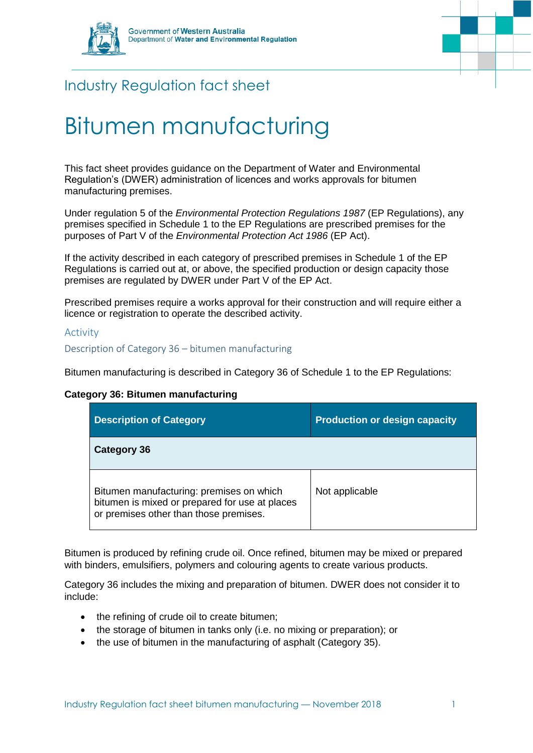



# Industry Regulation fact sheet

# Bitumen manufacturing

This fact sheet provides guidance on the Department of Water and Environmental Regulation's (DWER) administration of licences and works approvals for bitumen manufacturing premises.

Under regulation 5 of the *[Environmental Protection Regulations 1987](https://www.slp.wa.gov.au/legislation/statutes.nsf/main_mrtitle_1400_homepage.html)* (EP Regulations), any premises specified in Schedule 1 to the EP Regulations are prescribed premises for the purposes of Part V of the *[Environmental Protection Act 1986](https://www.slp.wa.gov.au/legislation/statutes.nsf/main_mrtitle_304_homepage.html)* (EP Act).

If the activity described in each category of prescribed premises in Schedule 1 of the EP Regulations is carried out at, or above, the specified production or design capacity those premises are regulated by DWER under Part V of the EP Act.

Prescribed premises require a works approval for their construction and will require either a licence or registration to operate the described activity.

# Activity

Description of Category 36 – bitumen manufacturing

Bitumen manufacturing is described in Category 36 of Schedule 1 to the EP Regulations:

# **Category 36: Bitumen manufacturing**

| <b>Description of Category</b>                                                                                                       | <b>Production or design capacity</b> |
|--------------------------------------------------------------------------------------------------------------------------------------|--------------------------------------|
| <b>Category 36</b>                                                                                                                   |                                      |
| Bitumen manufacturing: premises on which<br>bitumen is mixed or prepared for use at places<br>or premises other than those premises. | Not applicable                       |

Bitumen is produced by refining crude oil. Once refined, bitumen may be mixed or prepared with binders, emulsifiers, polymers and colouring agents to create various products.

Category 36 includes the mixing and preparation of bitumen. DWER does not consider it to include:

- the refining of crude oil to create bitumen;
- the storage of bitumen in tanks only (i.e. no mixing or preparation); or
- the use of bitumen in the manufacturing of asphalt (Category 35).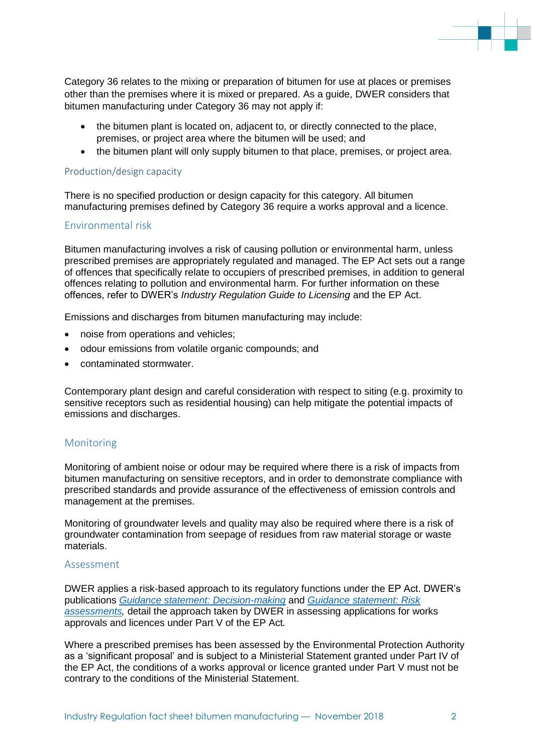Category 36 relates to the mixing or preparation of bitumen for use at places or premises other than the premises where it is mixed or prepared. As a guide, DWER considers that bitumen manufacturing under Category 36 may not apply if:

- the bitumen plant is located on, adjacent to, or directly connected to the place, premises, or project area where the bitumen will be used; and
- the bitumen plant will only supply bitumen to that place, premises, or project area.

## Production/design capacity

There is no specified production or design capacity for this category. All bitumen manufacturing premises defined by Category 36 require a works approval and a licence.

### Environmental risk

Bitumen manufacturing involves a risk of causing pollution or environmental harm, unless prescribed premises are appropriately regulated and managed. The EP Act sets out a range of offences that specifically relate to occupiers of prescribed premises, in addition to general offences relating to pollution and environmental harm. For further information on these offences, refer to DWER's *Industry Regulation Guide to Licensing* and the EP Act.

Emissions and discharges from bitumen manufacturing may include:

- noise from operations and vehicles;
- odour emissions from volatile organic compounds; and
- contaminated stormwater.

Contemporary plant design and careful consideration with respect to siting (e.g. proximity to sensitive receptors such as residential housing) can help mitigate the potential impacts of emissions and discharges.

# Monitoring

Monitoring of ambient noise or odour may be required where there is a risk of impacts from bitumen manufacturing on sensitive receptors, and in order to demonstrate compliance with prescribed standards and provide assurance of the effectiveness of emission controls and management at the premises.

Monitoring of groundwater levels and quality may also be required where there is a risk of groundwater contamination from seepage of residues from raw material storage or waste materials.

### Assessment

DWER applies a risk-based approach to its regulatory functions under the EP Act. DWER's publications *[Guidance statement: Decision-making](https://www.der.wa.gov.au/images/documents/our-work/licences-and-works-approvals/GS_Decision_Making.pdf)* and *[Guidance statement: Risk](https://www.der.wa.gov.au/images/documents/our-work/licences-and-works-approvals/GS_Risk_Assessments.pdf)  [assessments,](https://www.der.wa.gov.au/images/documents/our-work/licences-and-works-approvals/GS_Risk_Assessments.pdf)* detail the approach taken by DWER in assessing applications for works approvals and licences under Part V of the EP Act*.*

Where a prescribed premises has been assessed by the Environmental Protection Authority as a 'significant proposal' and is subject to a Ministerial Statement granted under Part IV of the EP Act, the conditions of a works approval or licence granted under Part V must not be contrary to the conditions of the Ministerial Statement.